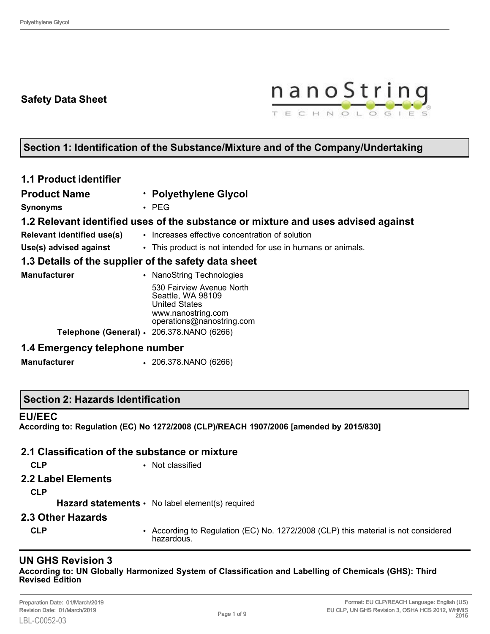## **Safety Data Sheet**



# **Section 1: Identification of the Substance/Mixture and of the Company/Undertaking**

| <b>1.1 Product identifier</b>                        |                                                                                                                           |  |  |  |
|------------------------------------------------------|---------------------------------------------------------------------------------------------------------------------------|--|--|--|
| <b>Product Name</b>                                  | · Polyethylene Glycol                                                                                                     |  |  |  |
| <b>Synonyms</b>                                      | $\cdot$ PEG                                                                                                               |  |  |  |
|                                                      | 1.2 Relevant identified uses of the substance or mixture and uses advised against                                         |  |  |  |
| <b>Relevant identified use(s)</b>                    | • Increases effective concentration of solution                                                                           |  |  |  |
| Use(s) advised against                               | • This product is not intended for use in humans or animals.                                                              |  |  |  |
| 1.3 Details of the supplier of the safety data sheet |                                                                                                                           |  |  |  |
| <b>Manufacturer</b>                                  | • NanoString Technologies                                                                                                 |  |  |  |
|                                                      | 530 Fairview Avenue North<br>Seattle, WA 98109<br><b>United States</b><br>www.nanostring.com<br>operations@nanostring.com |  |  |  |
| Telephone (General) · 206.378.NANO (6266)            |                                                                                                                           |  |  |  |
| 1.4 Emergency telephone number                       |                                                                                                                           |  |  |  |
| <b>Manufacturer</b>                                  | $\cdot$ 206.378. NANO (6266)                                                                                              |  |  |  |

#### **Section 2: Hazards Identification**

#### **EU/EEC**

**According to: Regulation (EC) No 1272/2008 (CLP)/REACH 1907/2006 [amended by 2015/830]**

#### **2.1 Classification of the substance or mixture**

- 
- **CLP** Not classified
- **2.2 Label Elements**

**CLP**

Hazard statements • No label element(s) required

- **2.3 Other Hazards**
	-
	- **CLP** According to Regulation (EC) No. 1272/2008 (CLP) this material is not considered hazardous.

## **UN GHS Revision 3**

**According to: UN Globally Harmonized System of Classification and Labelling of Chemicals (GHS): Third Revised Edition**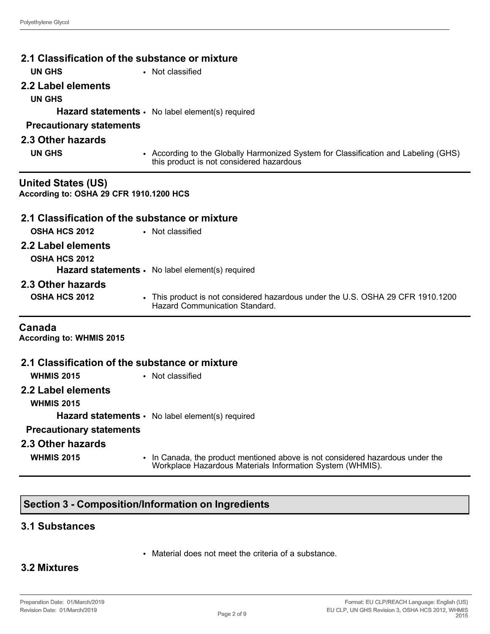| 2.1 Classification of the substance or mixture                       |                                                                                                                                             |  |  |  |
|----------------------------------------------------------------------|---------------------------------------------------------------------------------------------------------------------------------------------|--|--|--|
| <b>UN GHS</b><br>• Not classified                                    |                                                                                                                                             |  |  |  |
| 2.2 Label elements                                                   |                                                                                                                                             |  |  |  |
| <b>UN GHS</b>                                                        |                                                                                                                                             |  |  |  |
| Hazard statements · No label element(s) required                     |                                                                                                                                             |  |  |  |
| <b>Precautionary statements</b>                                      |                                                                                                                                             |  |  |  |
| 2.3 Other hazards                                                    |                                                                                                                                             |  |  |  |
| <b>UN GHS</b>                                                        | • According to the Globally Harmonized System for Classification and Labeling (GHS)<br>this product is not considered hazardous             |  |  |  |
| <b>United States (US)</b><br>According to: OSHA 29 CFR 1910.1200 HCS |                                                                                                                                             |  |  |  |
| 2.1 Classification of the substance or mixture                       |                                                                                                                                             |  |  |  |
| <b>OSHA HCS 2012</b><br>• Not classified                             |                                                                                                                                             |  |  |  |
| 2.2 Label elements                                                   |                                                                                                                                             |  |  |  |
| <b>OSHA HCS 2012</b>                                                 | Hazard statements · No label element(s) required                                                                                            |  |  |  |
| 2.3 Other hazards                                                    |                                                                                                                                             |  |  |  |
| <b>OSHA HCS 2012</b>                                                 | • This product is not considered hazardous under the U.S. OSHA 29 CFR 1910.1200<br><b>Hazard Communication Standard</b>                     |  |  |  |
| Canada<br><b>According to: WHMIS 2015</b>                            |                                                                                                                                             |  |  |  |
| 2.1 Classification of the substance or mixture                       |                                                                                                                                             |  |  |  |
| <b>WHMIS 2015</b>                                                    | • Not classified                                                                                                                            |  |  |  |
| 2.2 Label elements                                                   |                                                                                                                                             |  |  |  |
| <b>WHMIS 2015</b>                                                    |                                                                                                                                             |  |  |  |
|                                                                      | <b>Hazard statements •</b> No label element(s) required                                                                                     |  |  |  |
| <b>Precautionary statements</b>                                      |                                                                                                                                             |  |  |  |
| 2.3 Other hazards                                                    |                                                                                                                                             |  |  |  |
| <b>WHMIS 2015</b>                                                    | • In Canada, the product mentioned above is not considered hazardous under the<br>Workplace Hazardous Materials Information System (WHMIS). |  |  |  |

# **Section 3 - Composition/Information on Ingredients**

#### **3.1 Substances**

• Material does not meet the criteria of a substance.

## **3.2 Mixtures**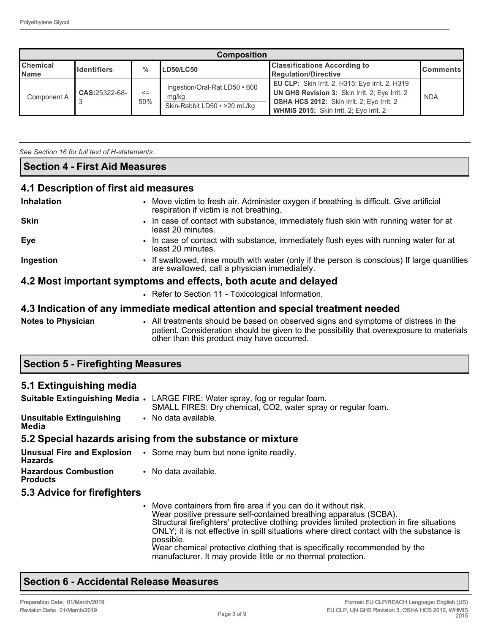| <b>Composition</b>                                                                   |               |               |                                                                        |                                                                                                                                                                                                   |            |
|--------------------------------------------------------------------------------------|---------------|---------------|------------------------------------------------------------------------|---------------------------------------------------------------------------------------------------------------------------------------------------------------------------------------------------|------------|
| <b>Chemical</b><br>$\frac{0}{0}$<br><b>Identifiers</b><br>LD50/LC50<br><b>I</b> Name |               |               | <b>Classifications According to</b><br><b>Regulation/Directive</b>     | <b>Comments</b>                                                                                                                                                                                   |            |
| Component A                                                                          | CAS:25322-68- | $\leq$<br>50% | Ingestion/Oral-Rat LD50 • 600<br>mg/kg<br>Skin-Rabbit LD50 • >20 mL/kg | EU CLP: Skin Irrit. 2, H315; Eye Irrit. 2, H319<br>UN GHS Revision 3: Skin Irrit. 2; Eye Irrit. 2<br><b>OSHA HCS 2012:</b> Skin Irrit. 2; Eye Irrit. 2<br>WHMIS 2015: Skin Irrit. 2; Eye Irrit. 2 | <b>NDA</b> |

*See Section 16 for full text of H-statements.* 

#### **Section 4 - First Aid Measures**

## **4.1 Description of first aid measures**

| <b>Inhalation</b>         | • Move victim to fresh air. Administer oxygen if breathing is difficult. Give artificial<br>respiration if victim is not breathing.                                            |
|---------------------------|--------------------------------------------------------------------------------------------------------------------------------------------------------------------------------|
| <b>Skin</b>               | . In case of contact with substance, immediately flush skin with running water for at<br>least 20 minutes.                                                                     |
| <b>Eye</b>                | • In case of contact with substance, immediately flush eyes with running water for at<br>least 20 minutes.                                                                     |
| Ingestion                 | • If swallowed, rinse mouth with water (only if the person is conscious) If large quantities<br>are swallowed, call a physician immediately.                                   |
|                           | 4.2 Most important symptoms and effects, both acute and delayed                                                                                                                |
|                           | • Refer to Section 11 - Toxicological Information.                                                                                                                             |
|                           | 4.3 Indication of any immediate medical attention and special treatment needed                                                                                                 |
| <b>Notes to Physician</b> | • All treatments should be based on observed signs and symptoms of distress in the<br>patient. Consideration should be given to the possibility that overexposure to materials |

other than this product may have occurred.

#### **Section 5 - Firefighting Measures**

#### **5.1 Extinguishing media**

|                                                | <b>Suitable Extinguishing Media .</b> LARGE FIRE: Water spray, fog or regular foam.<br>SMALL FIRES: Dry chemical, CO2, water spray or regular foam. |                                                                                                                                                                                                                                                                                                                                 |  |  |
|------------------------------------------------|-----------------------------------------------------------------------------------------------------------------------------------------------------|---------------------------------------------------------------------------------------------------------------------------------------------------------------------------------------------------------------------------------------------------------------------------------------------------------------------------------|--|--|
| <b>Unsuitable Extinguishing</b><br>Media       |                                                                                                                                                     | • No data available.                                                                                                                                                                                                                                                                                                            |  |  |
|                                                |                                                                                                                                                     | 5.2 Special hazards arising from the substance or mixture                                                                                                                                                                                                                                                                       |  |  |
| <b>Hazards</b>                                 |                                                                                                                                                     | <b>Unusual Fire and Explosion</b> . Some may burn but none ignite readily.                                                                                                                                                                                                                                                      |  |  |
| <b>Hazardous Combustion</b><br><b>Products</b> |                                                                                                                                                     | • No data available.                                                                                                                                                                                                                                                                                                            |  |  |
| 5.3 Advice for firefighters                    |                                                                                                                                                     |                                                                                                                                                                                                                                                                                                                                 |  |  |
|                                                |                                                                                                                                                     | • Move containers from fire area if you can do it without risk.<br>Wear positive pressure self-contained breathing apparatus (SCBA).<br>Structural firefighters' protective clothing provides limited protection in fire situations<br>ONLY; it is not effective in spill situations where direct contact with the substance is |  |  |

possible. Wear chemical protective clothing that is specifically recommended by the manufacturer. It may provide little or no thermal protection.

# **Section 6 - Accidental Release Measures**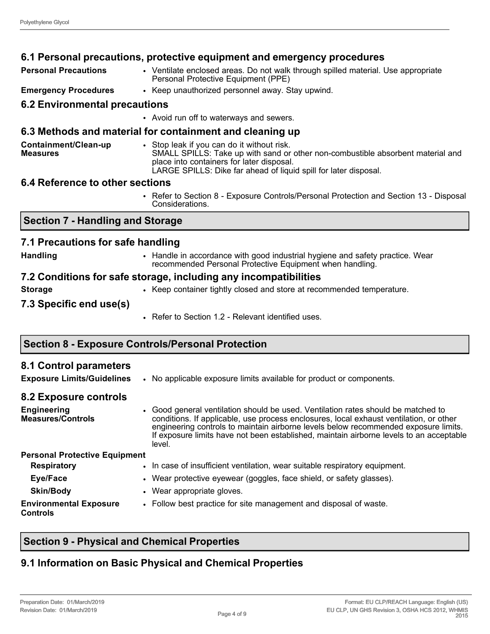|                                         | 6.1 Personal precautions, protective equipment and emergency procedures                                                                                                                                                                        |  |  |
|-----------------------------------------|------------------------------------------------------------------------------------------------------------------------------------------------------------------------------------------------------------------------------------------------|--|--|
| <b>Personal Precautions</b>             | • Ventilate enclosed areas. Do not walk through spilled material. Use appropriate<br>Personal Protective Equipment (PPE)                                                                                                                       |  |  |
| <b>Emergency Procedures</b>             | • Keep unauthorized personnel away. Stay upwind.                                                                                                                                                                                               |  |  |
| <b>6.2 Environmental precautions</b>    |                                                                                                                                                                                                                                                |  |  |
|                                         | • Avoid run off to waterways and sewers.                                                                                                                                                                                                       |  |  |
|                                         | 6.3 Methods and material for containment and cleaning up                                                                                                                                                                                       |  |  |
| Containment/Clean-up<br><b>Measures</b> | • Stop leak if you can do it without risk.<br>SMALL SPILLS: Take up with sand or other non-combustible absorbent material and<br>place into containers for later disposal.<br>LARGE SPILLS: Dike far ahead of liquid spill for later disposal. |  |  |
| 6.4 Reference to other sections         |                                                                                                                                                                                                                                                |  |  |
|                                         | • Refer to Section 8 - Exposure Controls/Personal Protection and Section 13 - Disposal<br>Considerations.                                                                                                                                      |  |  |
| <b>Section 7 - Handling and Storage</b> |                                                                                                                                                                                                                                                |  |  |
| 7.1 Precautions for safe handling       |                                                                                                                                                                                                                                                |  |  |
| <b>Handling</b>                         | • Handle in accordance with good industrial hygiene and safety practice. Wear<br>recommended Personal Protective Equipment when handling.                                                                                                      |  |  |
|                                         | 7.2 Conditions for safe storage, including any incompatibilities                                                                                                                                                                               |  |  |
| <b>Storage</b>                          | • Keep container tightly closed and store at recommended temperature.                                                                                                                                                                          |  |  |
| 7.3 Specific end use(s)                 |                                                                                                                                                                                                                                                |  |  |
|                                         | • Refer to Section 1.2 - Relevant identified uses.                                                                                                                                                                                             |  |  |

# **Section 8 - Exposure Controls/Personal Protection**

| 8.1 Control parameters<br><b>Exposure Limits/Guidelines</b>             | • No applicable exposure limits available for product or components.                                                                                                                                                                                                                                                                                                    |
|-------------------------------------------------------------------------|-------------------------------------------------------------------------------------------------------------------------------------------------------------------------------------------------------------------------------------------------------------------------------------------------------------------------------------------------------------------------|
| 8.2 Exposure controls<br><b>Engineering</b><br><b>Measures/Controls</b> | • Good general ventilation should be used. Ventilation rates should be matched to<br>conditions. If applicable, use process enclosures, local exhaust ventilation, or other<br>engineering controls to maintain airborne levels below recommended exposure limits.<br>If exposure limits have not been established, maintain airborne levels to an acceptable<br>level. |
| <b>Personal Protective Equipment</b>                                    |                                                                                                                                                                                                                                                                                                                                                                         |
| <b>Respiratory</b>                                                      | . In case of insufficient ventilation, wear suitable respiratory equipment.                                                                                                                                                                                                                                                                                             |
| Eye/Face                                                                | • Wear protective eyewear (goggles, face shield, or safety glasses).                                                                                                                                                                                                                                                                                                    |
| <b>Skin/Body</b>                                                        | • Wear appropriate gloves.                                                                                                                                                                                                                                                                                                                                              |
| <b>Environmental Exposure</b><br>Controls                               | • Follow best practice for site management and disposal of waste.                                                                                                                                                                                                                                                                                                       |

# **Section 9 - Physical and Chemical Properties**

# **9.1 Information on Basic Physical and Chemical Properties**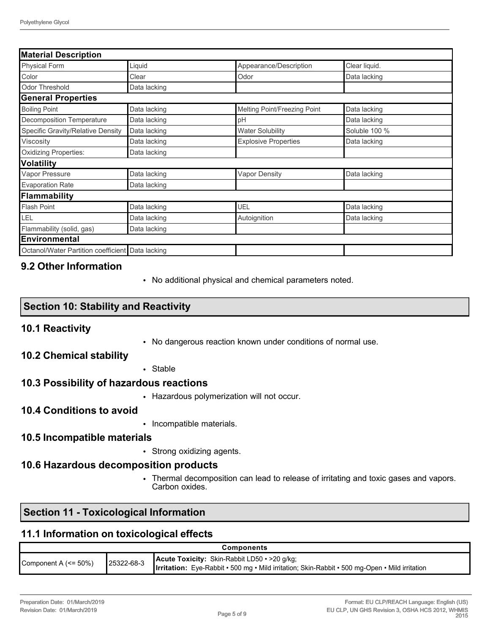| <b>Material Description</b>                      |              |                              |               |  |
|--------------------------------------------------|--------------|------------------------------|---------------|--|
| Physical Form                                    | Liquid       | Appearance/Description       | Clear liquid. |  |
| Color                                            | Clear        | Odor                         | Data lacking  |  |
| <b>Odor Threshold</b>                            | Data lacking |                              |               |  |
| <b>General Properties</b>                        |              |                              |               |  |
| <b>Boiling Point</b>                             | Data lacking | Melting Point/Freezing Point | Data lacking  |  |
| <b>Decomposition Temperature</b>                 | Data lacking | pH                           | Data lacking  |  |
| Specific Gravity/Relative Density                | Data lacking | <b>Water Solubility</b>      | Soluble 100 % |  |
| Viscosity                                        | Data lacking | <b>Explosive Properties</b>  | Data lacking  |  |
| Oxidizing Properties:                            | Data lacking |                              |               |  |
| <b>Volatility</b>                                |              |                              |               |  |
| Vapor Pressure                                   | Data lacking | <b>Vapor Density</b>         | Data lacking  |  |
| <b>Evaporation Rate</b>                          | Data lacking |                              |               |  |
| Flammability                                     |              |                              |               |  |
| <b>Flash Point</b>                               | Data lacking | UEL                          | Data lacking  |  |
| LEL                                              | Data lacking | Autoignition                 | Data lacking  |  |
| Flammability (solid, gas)                        | Data lacking |                              |               |  |
| Environmental                                    |              |                              |               |  |
| Octanol/Water Partition coefficient Data lacking |              |                              |               |  |

## **9.2 Other Information**

• No additional physical and chemical parameters noted.

## **Section 10: Stability and Reactivity**

#### **10.1 Reactivity**

• No dangerous reaction known under conditions of normal use.

#### **10.2 Chemical stability**

• Stable

#### **10.3 Possibility of hazardous reactions**

• Hazardous polymerization will not occur.

## **10.4 Conditions to avoid**

• Incompatible materials.

#### **10.5 Incompatible materials**

• Strong oxidizing agents.

#### **10.6 Hazardous decomposition products**

• Thermal decomposition can lead to release of irritating and toxic gases and vapors. Carbon oxides.

## **Section 11 - Toxicological Information**

#### **11.1 Information on toxicological effects**

| Components                        |            |                                                                                                                                                       |  |
|-----------------------------------|------------|-------------------------------------------------------------------------------------------------------------------------------------------------------|--|
| Component A $\left(<=50\%\right)$ | 25322-68-3 | Acute Toxicity: Skin-Rabbit LD50 · >20 g/kg;<br><b>Irritation:</b> Eye-Rabbit • 500 mg • Mild irritation; Skin-Rabbit • 500 mg-Open • Mild irritation |  |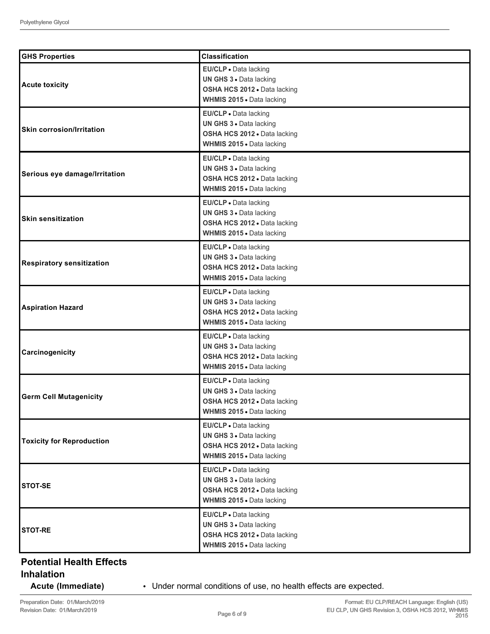| <b>GHS Properties</b>            | <b>Classification</b>                                                                                                |
|----------------------------------|----------------------------------------------------------------------------------------------------------------------|
| <b>Acute toxicity</b>            | EU/CLP . Data lacking<br>UN GHS 3 . Data lacking<br>OSHA HCS 2012 · Data lacking<br>WHMIS 2015 . Data lacking        |
| <b>Skin corrosion/Irritation</b> | EU/CLP · Data lacking<br>UN GHS 3 · Data lacking<br>OSHA HCS 2012 · Data lacking<br>WHMIS 2015 . Data lacking        |
| Serious eye damage/Irritation    | EU/CLP · Data lacking<br>UN GHS 3 . Data lacking<br>OSHA HCS 2012 . Data lacking<br>WHMIS 2015 . Data lacking        |
| <b>Skin sensitization</b>        | EU/CLP · Data lacking<br>UN GHS 3 . Data lacking<br>OSHA HCS 2012 . Data lacking<br>WHMIS 2015 . Data lacking        |
| <b>Respiratory sensitization</b> | EU/CLP · Data lacking<br>UN GHS 3 · Data lacking<br>OSHA HCS 2012 · Data lacking<br>WHMIS 2015 . Data lacking        |
| <b>Aspiration Hazard</b>         | EU/CLP · Data lacking<br>UN GHS 3 · Data lacking<br>OSHA HCS 2012 . Data lacking<br>WHMIS 2015 . Data lacking        |
| Carcinogenicity                  | EU/CLP · Data lacking<br>UN GHS 3 . Data lacking<br>OSHA HCS 2012 . Data lacking<br>WHMIS 2015 . Data lacking        |
| <b>Germ Cell Mutagenicity</b>    | EU/CLP · Data lacking<br>UN GHS 3 . Data lacking<br><b>OSHA HCS 2012 • Data lacking</b><br>WHMIS 2015 . Data lacking |
| <b>Toxicity for Reproduction</b> | EU/CLP . Data lacking<br>UN GHS 3 . Data lacking<br>OSHA HCS 2012 . Data lacking<br>WHMIS 2015 . Data lacking        |
| <b>STOT-SE</b>                   | EU/CLP · Data lacking<br>UN GHS 3 . Data lacking<br>OSHA HCS 2012 . Data lacking<br>WHMIS 2015 . Data lacking        |
| <b>STOT-RE</b>                   | EU/CLP · Data lacking<br>UN GHS 3 · Data lacking<br>OSHA HCS 2012 . Data lacking<br>WHMIS 2015 . Data lacking        |

# **Potential Health Effects**

## **Inhalation**

**Acute (Immediate)** • Under normal conditions of use, no health effects are expected.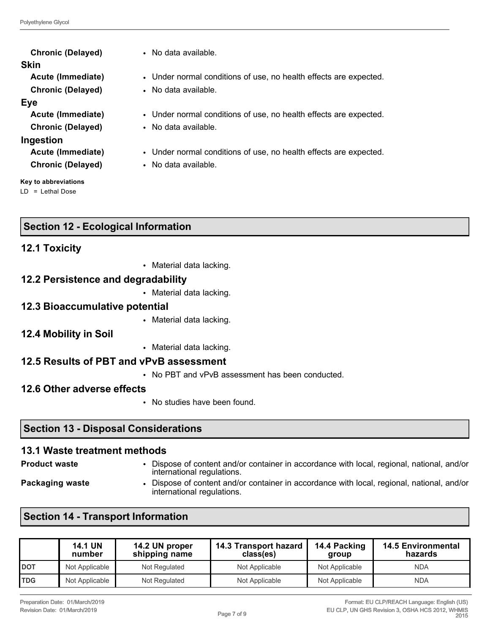| <b>Chronic (Delayed)</b>      |  |
|-------------------------------|--|
| Skin                          |  |
| Acute (Immediate)             |  |
| <b>Chronic (Delayed)</b>      |  |
| <b>Eye</b>                    |  |
| Acute (Immediate)             |  |
| <b>Chronic (Delayed)</b>      |  |
| Ingestion                     |  |
| Acute (Immediate)             |  |
| <b>Chronic (Delayed)</b>      |  |
| معرمنا فمنبره وماواه لمقترمها |  |

**Key to abbreviations** LD = Lethal Dose

**Chronic (Delayed)** • No data available.

- Under normal conditions of use, no health effects are expected.
- **Chronic (Delayed)** No data available.
- Under normal conditions of use, no health effects are expected.
- No data available.
- Under normal conditions of use, no health effects are expected.
- **Chronic (Delayed)** No data available.

## **Section 12 - Ecological Information**

## **12.1 Toxicity**

• Material data lacking.

## **12.2 Persistence and degradability**

• Material data lacking.

#### **12.3 Bioaccumulative potential**

- Material data lacking.
- **12.4 Mobility in Soil**
- Material data lacking.

## **12.5 Results of PBT and vPvB assessment**

• No PBT and vPvB assessment has been conducted.

## **12.6 Other adverse effects**

• No studies have been found.

## **Section 13 - Disposal Considerations**

#### **13.1 Waste treatment methods**

- 
- **Product waste** Dispose of content and/or container in accordance with local, regional, national, and/or international regulations.
- 
- **Packaging waste Dispose of content and/or container in accordance with local, regional, national, and/or** international regulations.

## **Section 14 - Transport Information**

|              | <b>14.1 UN</b><br>number | 14.2 UN proper<br>shipping name | 14.3 Transport hazard<br>class(es) | 14.4 Packing<br>group | <b>14.5 Environmental</b><br>hazards |
|--------------|--------------------------|---------------------------------|------------------------------------|-----------------------|--------------------------------------|
| <b>I</b> DOT | Not Applicable           | Not Regulated                   | Not Applicable                     | Not Applicable        | <b>NDA</b>                           |
| <b>TDG</b>   | Not Applicable           | Not Regulated                   | Not Applicable                     | Not Applicable        | <b>NDA</b>                           |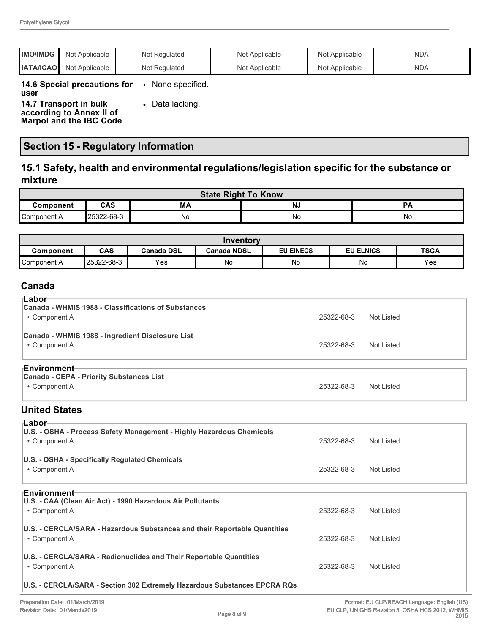| <b>IMO/IMDG</b>                                    | Not Applicable | Not Regulated   | Not Applicable | Not Applicable | <b>NDA</b> |
|----------------------------------------------------|----------------|-----------------|----------------|----------------|------------|
| <b>IATA/ICAO</b>                                   | Not Applicable | Not Regulated   | Not Applicable | Not Applicable | <b>NDA</b> |
| 14.6 Special precautions for<br>user               |                | None specified. |                |                |            |
| 14.7 Transport in bulk<br>according to Annex II of |                | Data lacking.   |                |                |            |

**Marpol and the IBC Code**

# **Section 15 - Regulatory Information**

## **15.1 Safety, health and environmental regulations/legislation specific for the substance or mixture**

| <b>State Right To Know</b> |            |    |    |           |
|----------------------------|------------|----|----|-----------|
| Component                  | <b>CAS</b> | МA | NJ | <b>D/</b> |
| Component A                | 25322-68-3 | No | No | No        |

| Inventory   |            |                   |                    |                  |                     |             |
|-------------|------------|-------------------|--------------------|------------------|---------------------|-------------|
| Component   | <b>CAS</b> | <b>Canada DSL</b> | <b>Canada NDSL</b> | <b>EU EINECS</b> | <b>ELNICS</b><br>EU | <b>TSCA</b> |
| Component A | 25322-68-3 | Yes               | No                 | No               | No                  | Yes         |

## **Canada**

| ⊺Labor<br>Canada - WHMIS 1988 - Classifications of Substances<br>• Component A | 25322-68-3 | Not Listed |
|--------------------------------------------------------------------------------|------------|------------|
| Canada - WHMIS 1988 - Ingredient Disclosure List<br>• Component A              | 25322-68-3 | Not Listed |
| ⊤Environment<br>Canada - CEPA - Priority Substances List<br>• Component A      | 25322-68-3 | Not Listed |

## **United States**

| ⊦Labor                                                                                             |            |            |
|----------------------------------------------------------------------------------------------------|------------|------------|
| U.S. - OSHA - Process Safety Management - Highly Hazardous Chemicals<br>• Component A              | 25322-68-3 | Not Listed |
| U.S. - OSHA - Specifically Regulated Chemicals<br>• Component A                                    | 25322-68-3 | Not Listed |
|                                                                                                    |            |            |
| <b>⊦Environment</b><br>U.S. - CAA (Clean Air Act) - 1990 Hazardous Air Pollutants<br>• Component A | 25322-68-3 | Not Listed |
| U.S. - CERCLA/SARA - Hazardous Substances and their Reportable Quantities<br>• Component A         | 25322-68-3 | Not Listed |
| U.S. - CERCLA/SARA - Radionuclides and Their Reportable Quantities<br>• Component A                | 25322-68-3 | Not Listed |
| U.S. - CERCLA/SARA - Section 302 Extremely Hazardous Substances EPCRA RQs                          |            |            |